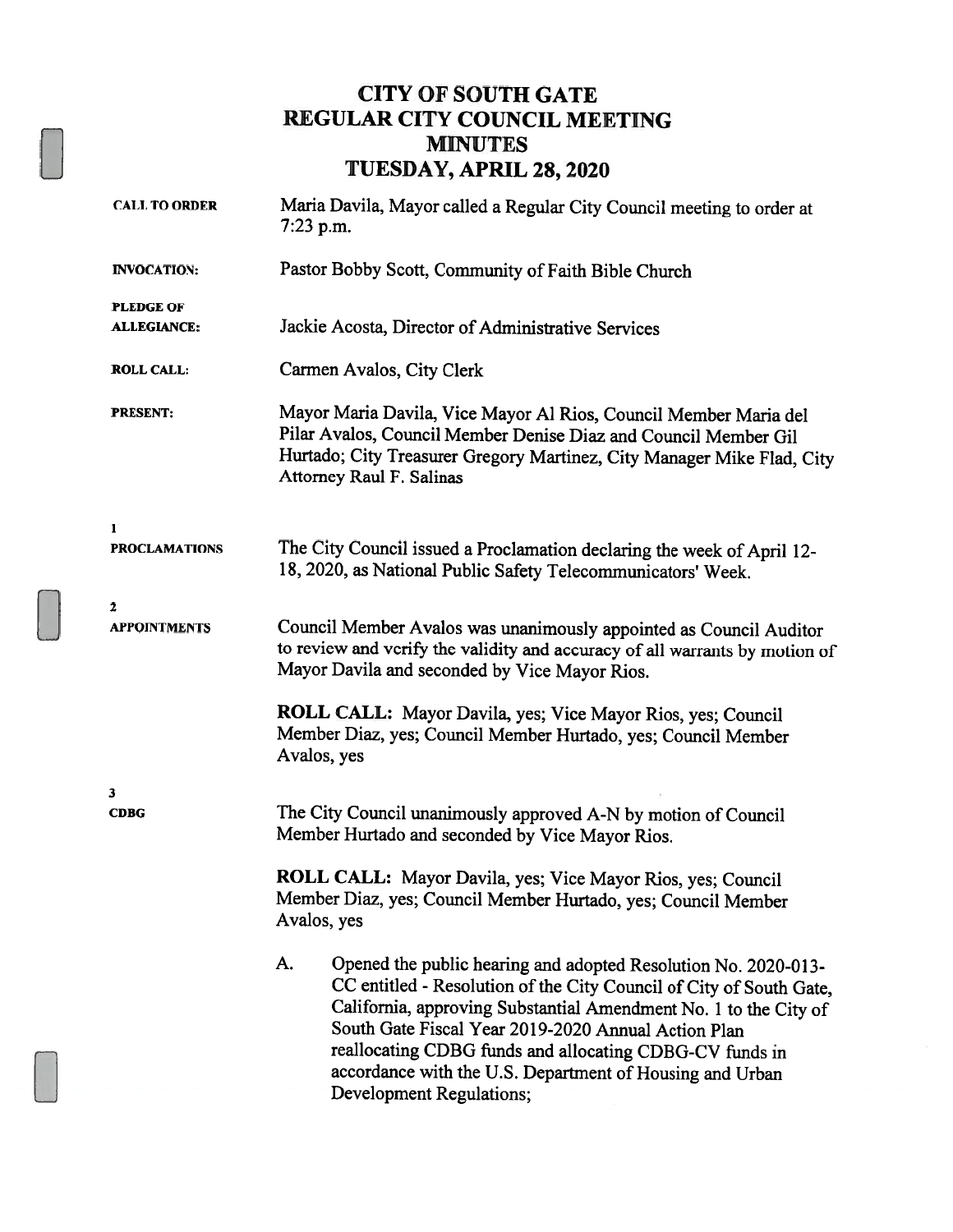### CITY OF SOUTH GATE REGULAR CITY COUNCIL MEETING MINUTES TUESDAY, APRIL 28, 2020

| <b>CALL TO ORDER</b>                   | Maria Davila, Mayor called a Regular City Council meeting to order at<br>$7:23$ p.m.                                                                                                                                                                                                                                                                                                                                      |  |  |
|----------------------------------------|---------------------------------------------------------------------------------------------------------------------------------------------------------------------------------------------------------------------------------------------------------------------------------------------------------------------------------------------------------------------------------------------------------------------------|--|--|
| <b>INVOCATION:</b>                     | Pastor Bobby Scott, Community of Faith Bible Church                                                                                                                                                                                                                                                                                                                                                                       |  |  |
| <b>PLEDGE OF</b><br><b>ALLEGIANCE:</b> | Jackie Acosta, Director of Administrative Services                                                                                                                                                                                                                                                                                                                                                                        |  |  |
| <b>ROLL CALL:</b>                      | Carmen Avalos, City Clerk                                                                                                                                                                                                                                                                                                                                                                                                 |  |  |
| <b>PRESENT:</b>                        | Mayor Maria Davila, Vice Mayor Al Rios, Council Member Maria del<br>Pilar Avalos, Council Member Denise Diaz and Council Member Gil<br>Hurtado; City Treasurer Gregory Martinez, City Manager Mike Flad, City<br>Attorney Raul F. Salinas                                                                                                                                                                                 |  |  |
| 1<br><b>PROCLAMATIONS</b>              | The City Council issued a Proclamation declaring the week of April 12-<br>18, 2020, as National Public Safety Telecommunicators' Week.                                                                                                                                                                                                                                                                                    |  |  |
| 2<br><b>APPOINTMENTS</b>               | Council Member Avalos was unanimously appointed as Council Auditor<br>to review and verify the validity and accuracy of all warrants by motion of<br>Mayor Davila and seconded by Vice Mayor Rios.                                                                                                                                                                                                                        |  |  |
|                                        | ROLL CALL: Mayor Davila, yes; Vice Mayor Rios, yes; Council<br>Member Diaz, yes; Council Member Hurtado, yes; Council Member<br>Avalos, yes                                                                                                                                                                                                                                                                               |  |  |
| 3<br><b>CDBG</b>                       | The City Council unanimously approved A-N by motion of Council<br>Member Hurtado and seconded by Vice Mayor Rios.                                                                                                                                                                                                                                                                                                         |  |  |
|                                        | ROLL CALL: Mayor Davila, yes; Vice Mayor Rios, yes; Council<br>Member Diaz, yes; Council Member Hurtado, yes; Council Member<br>Avalos, yes                                                                                                                                                                                                                                                                               |  |  |
|                                        | A.<br>Opened the public hearing and adopted Resolution No. 2020-013-<br>CC entitled - Resolution of the City Council of City of South Gate,<br>California, approving Substantial Amendment No. 1 to the City of<br>South Gate Fiscal Year 2019-2020 Annual Action Plan<br>reallocating CDBG funds and allocating CDBG-CV funds in<br>accordance with the U.S. Department of Housing and Urban<br>Development Regulations; |  |  |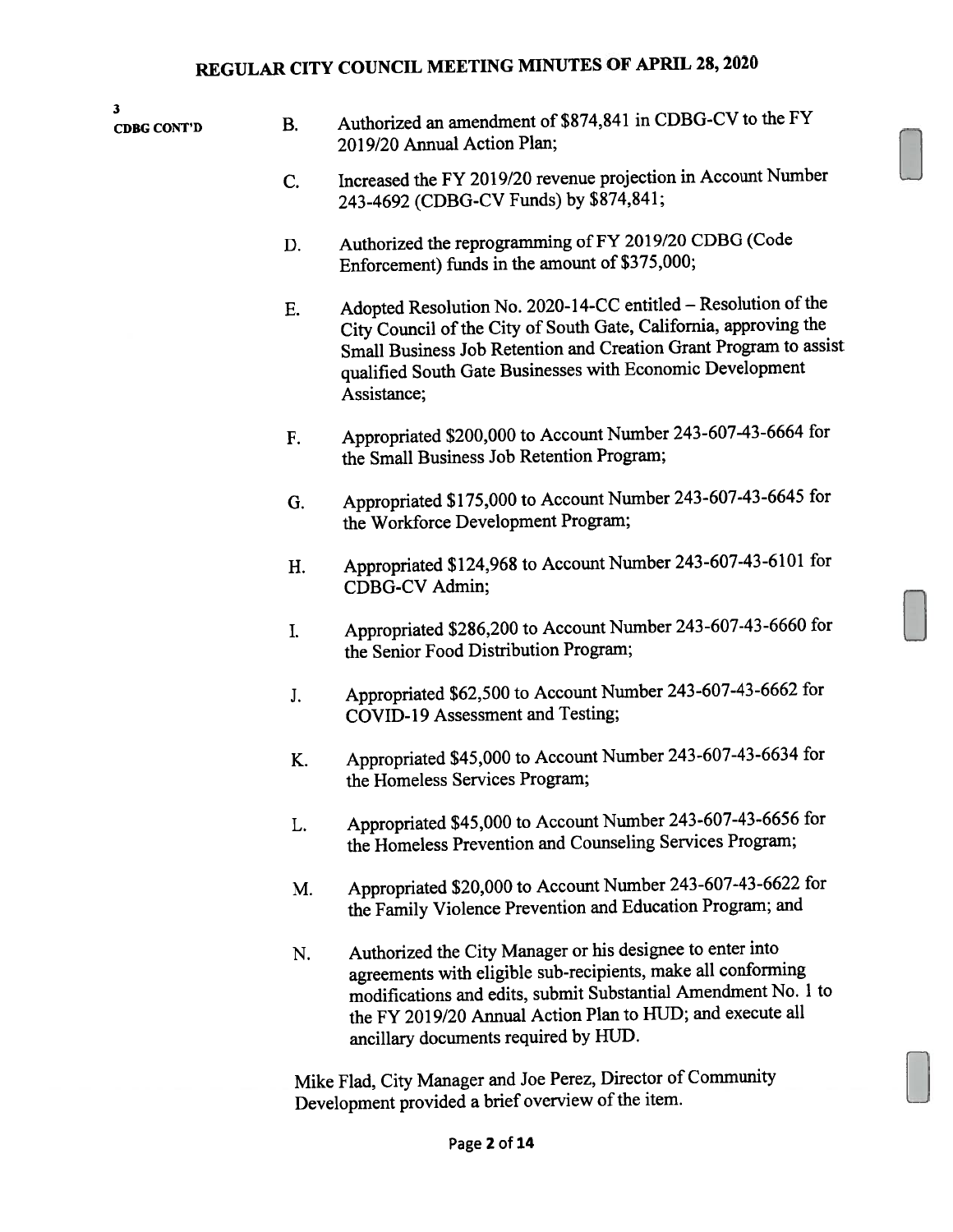3

- $\overline{C}$ DBG CONT'D B. Authorized an amendment of \$874,841 in CDBG-CV to the FY 2019/20 Annual Action Plan;
	- C. Increased the FY 2019/20 revenue projection in Account Number 243-4692 (CDBG-CV Funds) by \$874,841;
	- D. Authorized the reprogramming of FY 2019/20 CDBG (Code Enforcement) funds in the amount of \$375,000;
	- E. Adopted Resolution No. 2020-14-CC entitled Resolution of the City Council of the City of South Gate, California, approving the Small Business Job Retention and Creation Grant Program to assist qualified South Gate Businesses with Economic Development Assistance;
	- F. Appropriated \$200,000 to Account Number 243-607-43-6664 for the Small Business Job Retention Program;
	- G. Appropriated \$175,000 to Account Number 243-607-43-6645 for the Workforce Development Program;
	- H. Appropriated \$124,968 to Account Number 243-607-43-6101 for CDBG-CV Admin;
	- 1. Appropriated \$286,200 to Account Number 243-607-43-6660 for the Senior Food Distribution Program;
	- J. Appropriated \$62,500 to Account Number 243-607-43-6662 for COVID-19 Assessment and Testing;
	- K. Appropriated \$45,000 to Account Number 243-607-43-6634 for the Homeless Services Program;
	- L. Appropriated \$45,000 to Account Number 243-607-43-6656 for the Homeless Prevention and Counseling Services Program;
	- M. Appropriated \$20,000 to Account Number 243-607-43-6622 for the Family Violence Prevention and Education Program; and
	- N. Authorized the City Manager or his designee to enter into agreements with eligible sub-recipients, make all conforming modifications and edits, submit Substantial Amendment No. <sup>1</sup> to the FY 2019/20 Annual Action Plan to HUD; and execute all ancillary documents required by HUD.

Mike Flad, City Manager and Joe Perez, Director of Community Development provided a brief overview of the item.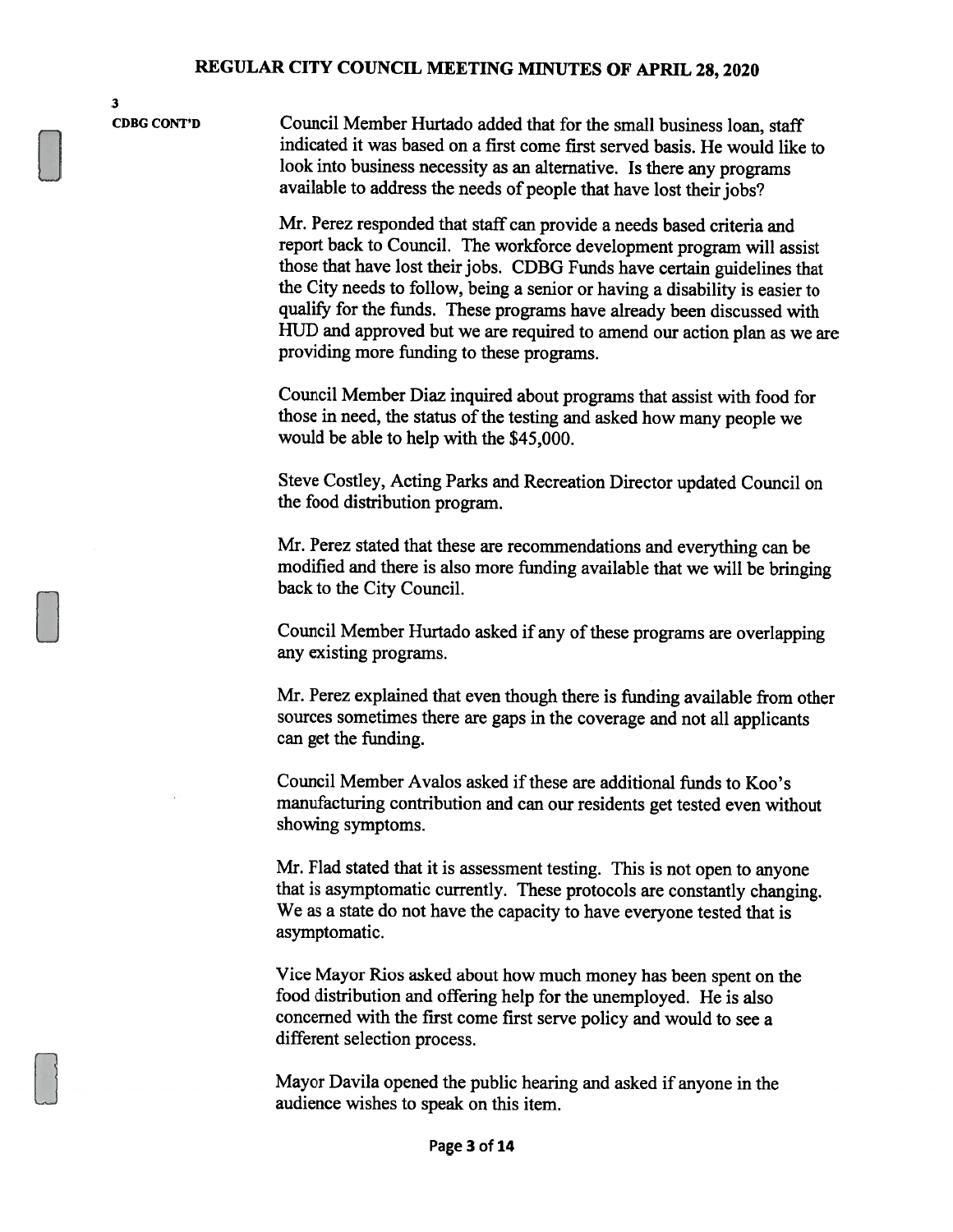3

CDBG CONT'D Council Member Hurtado added that for the small business loan, staff indicated it was based on <sup>a</sup> first come first served basis. He would like to look into business necessity as an alternative. Is there any programs available to address the needs of people that have lost their jobs?

> Mr. Perez responded that staff can provide <sup>a</sup> needs based criteria and report back to Council. The workforce development program will assist those that have lost their jobs. CDBG Funds have certain guidelines that the City needs to follow, being <sup>a</sup> senior or having <sup>a</sup> disability is easier to qualify for the funds. These programs have already been discussed with HUD and approved but we are required to amend our action <sup>p</sup>lan as we are providing more funding to these programs.

Council Member Diaz inquired about programs that assist with food for those in need, the status of the testing and asked how many people we would be able to help with the \$45,000.

Steve Costley, Acting Parks and Recreation Director updated Council on the food distribution program.

Mr. Perez stated that these are recommendations and everything can be modified and there is also more funding available that we will be bringing back to the City Council.

Council Member Hurtado asked if any of these programs are overlapping any existing programs.

Mr. Perez explained that even though there is funding available from other sources sometimes there are gaps in the coverage and not all applicants can get the funding.

Council Member Avalos asked if these are additional funds to Koo's manufacturing contribution and can our residents get tested even without showing symptoms.

Mr. Flad stated that it is assessment testing. This is not open to anyone that is asymptomatic currently. These protocols are constantly changing. We as <sup>a</sup> state do not have the capacity to have everyone tested that is asymptomatic.

Vice Mayor Rios asked about how much money has been spent on the food distribution and offering help for the unemployed. He is also concerned with the first come first serve policy and would to see <sup>a</sup> different selection process.

Mayor Davila opened the public hearing and asked if anyone in the audience wishes to speak on this item.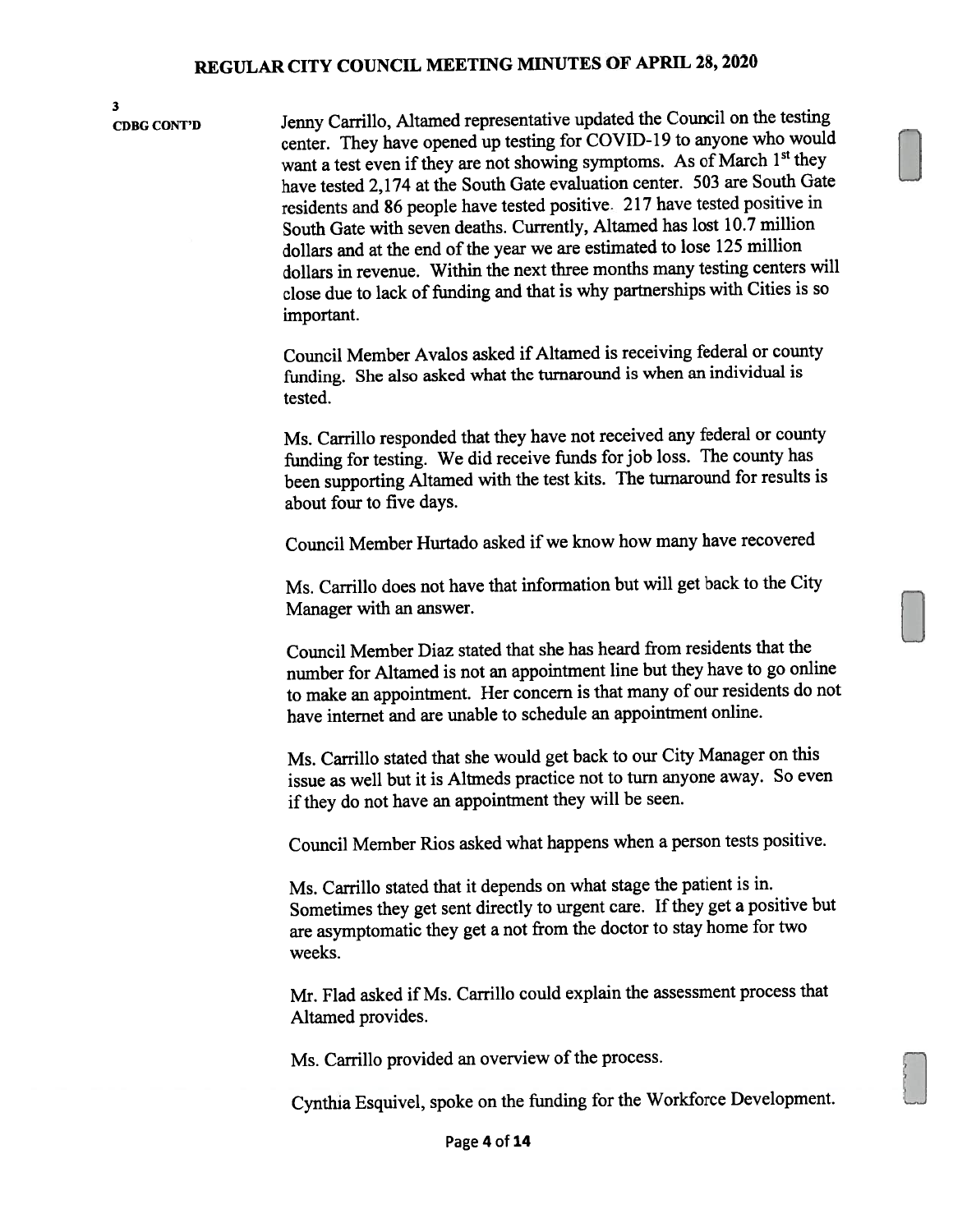3

CDBG CONT'D Jenny Carrillo, Altamed representative updated the Council on the testing center. They have opene<sup>d</sup> up testing for COVID- <sup>19</sup> to anyone who would want a test even if they are not showing symptoms. As of March 1st they have tested 2,174 at the South Gate evaluation center. <sup>503</sup> are South Gate residents and <sup>86</sup> peopie have tested positive. <sup>217</sup> have tested positive in South Gate with seven deaths. Currently, Altamed has lost 10.7 million dollars and at the end of the year we are estimated to lose 125 million dollars in revenue. Within the next three months many testing centers will close due to lack of funding and that is why partnerships with Cities is so important.

> Council Member Avalos asked if Altamed is receiving federal or county funding. She also asked what the turnaround is when an individual is tested.

Ms. Carrillo responded that they have not received any federal or county funding for testing. We did receive funds for job loss. The county has been supporting Altamed with the test kits. The turnaround for results is about four to five days.

Council Member Hurtado asked if we know how many have recovered

Ms. Carrillo does not have that information but will ge<sup>t</sup> back to the City Manager with an answer.

Council Member Diaz stated that she has heard from residents that the number for Altamed is not an appointment line but they have to go online to make an appointment. Her concern is that many of our residents do not have internet and are unable to schedule an appointment online.

Ms. Carrillo stated that she would ge<sup>t</sup> back to our City Manager on this issue as well but it is Altmeds practice not to turn anyone away. So even if they do not have an appointment they will be seen.

Council Member Rios asked what happens when <sup>a</sup> person tests positive.

Ms. Carrillo stated that it depends on what stage the patient is in. Sometimes they get sent directly to urgent care. If they get a positive but are asymptomatic they ge<sup>t</sup> <sup>a</sup> not from the doctor to stay home for two weeks.

Mr. Flad asked if Ms. Carrillo could explain the assessment process that Altamed provides.

Ms. Carrillo provided an overview of the process.

Cynthia Esquivel, spoke on the funding for the Workforce Development.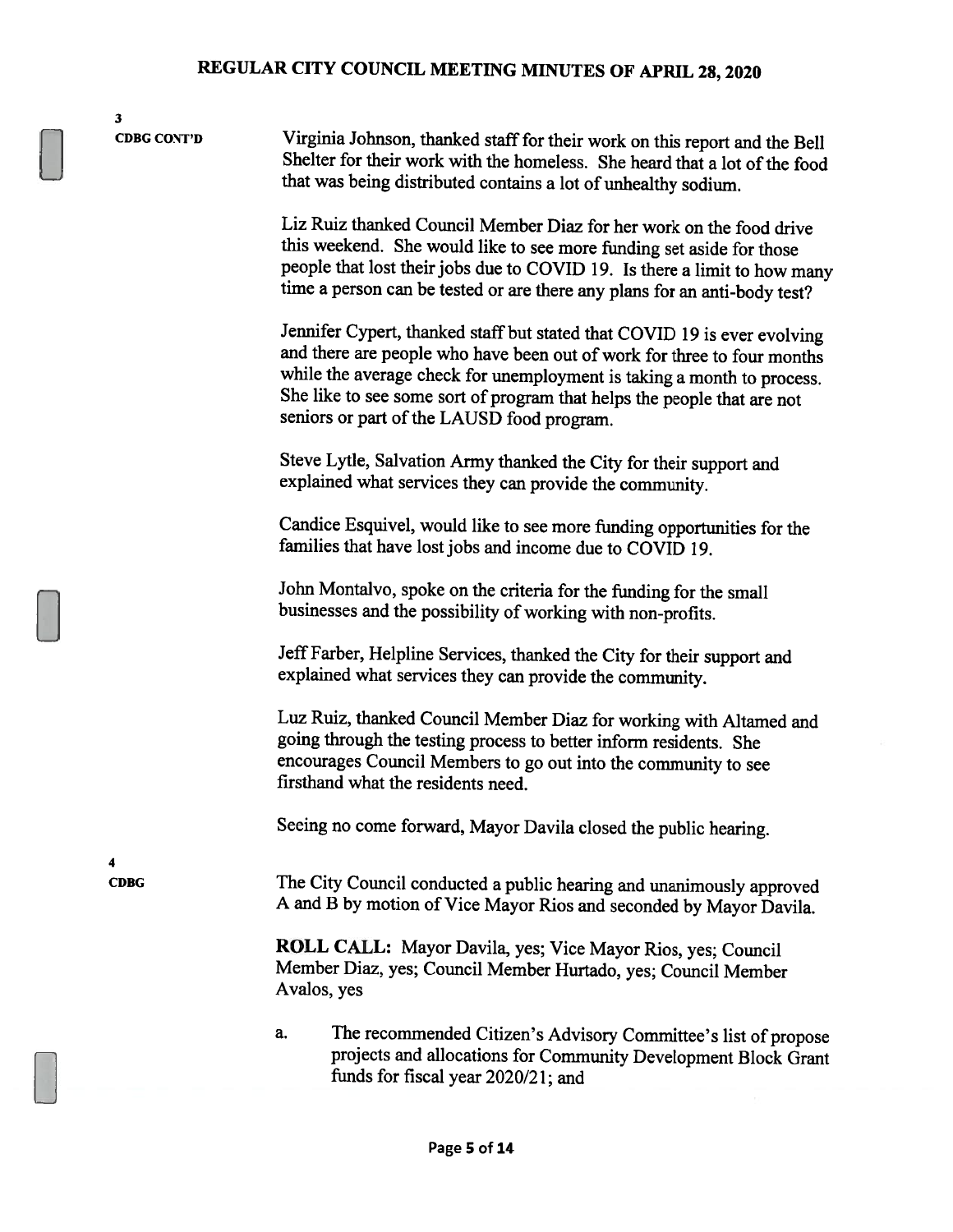3 CDBG CONT'D Virginia Johnson, thanked staff for their work on this report and the Bell Shelter for their work with the homeless. She heard that a lot of the food that was being distributed contains <sup>a</sup> lot of unhealthy sodium. Liz Ruiz thanked Council Member Diaz for her work on the food drive this weekend. She would like to see more funding set aside for those people that lost their jobs due to COVID 19. Is there <sup>a</sup> limit to how many time <sup>a</sup> person can be tested or are there any <sup>p</sup>lans for an anti-body test? Jennifer Cypert, thanked staff but stated that <sup>C</sup>OVID <sup>19</sup> is ever evolving and there are people who have been out of work for three to four months while the average check for unemployment is taking <sup>a</sup> month to process. She like to see some sort of program that helps the people that are not seniors or part of the LAUSD food program. Steve Lytle, Salvation Army thanked the City for their support and explained what services they can provide the community. Candice Esquivel, would like to see more funding opportunities for the families that have lost jobs and income due to COVID 19. John Montalvo, spoke on the criteria for the funding for the small businesses and the possibility of working with non-profits. Jeff Farber, Helpline Services, thanked the City for their support and explained what services they can provide the community. Luz Ruiz, thanked Council Member Diaz for working with Altamed and going through the testing process to better inform residents. She encourages Council Members to go out into the community to see firsthand what the residents need. Seeing no come forward, Mayor Davila closed the public hearing. 4 CDBG The City Council conducted <sup>a</sup> public hearing and unanimously approved <sup>A</sup> and <sup>B</sup> by motion of Vice Mayor Rios and seconded by Mayor Davila. ROLL CALL: Mayor Davila, yes; Vice Mayor Rios, yes; Council Member Diaz, yes; Council Member Hurtado, yes; Council Member Avalos, yes a. The recommended Citizen's Advisory Committee's list of propose projects and allocations for Community Development Block Grant

funds for fiscal year 2020/21; and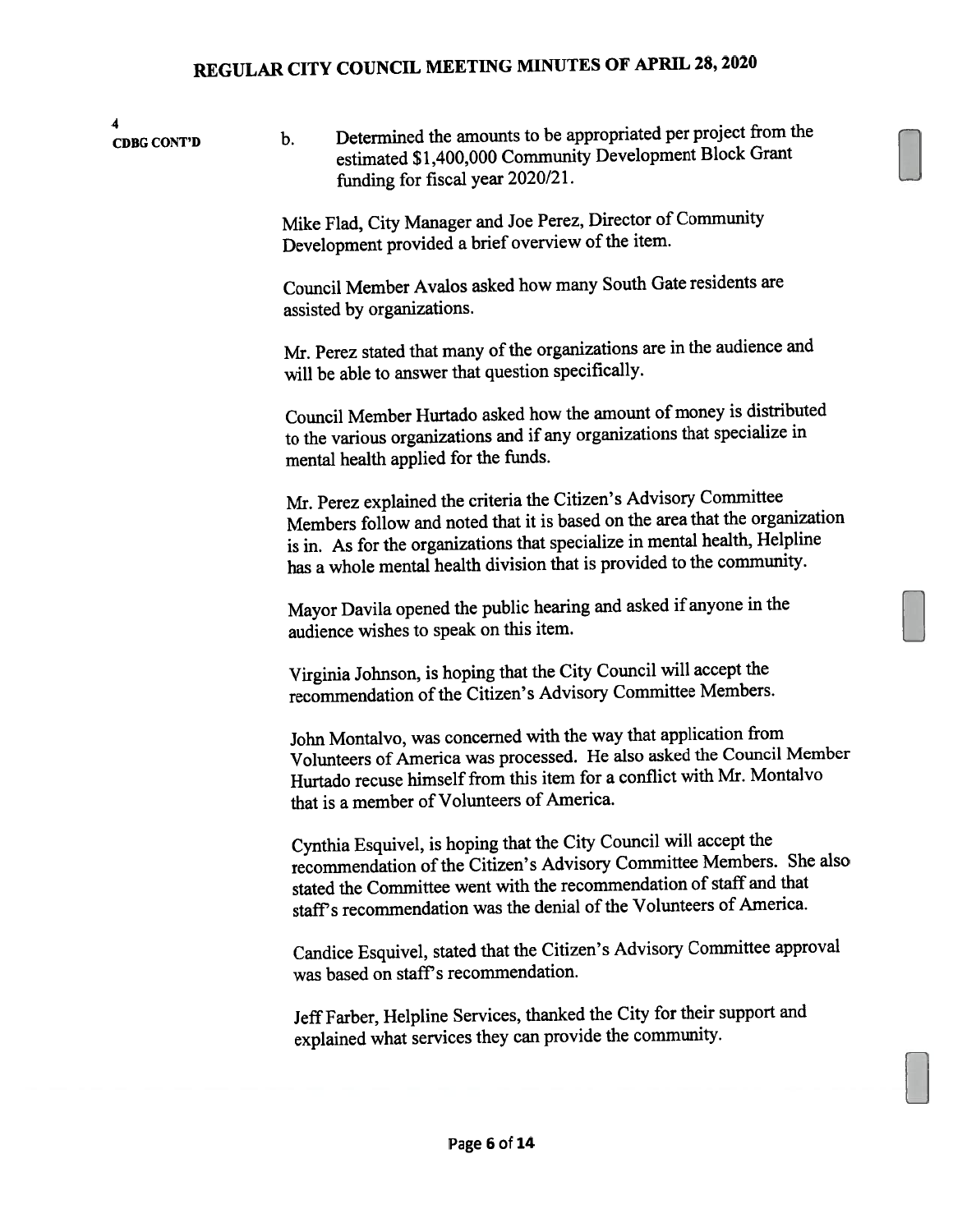| 4<br><b>CDBG CONT'D</b> | b.                                                                                                                                                                                                                | Determined the amounts to be appropriated per project from the<br>estimated \$1,400,000 Community Development Block Grant<br>funding for fiscal year 2020/21.                                                                                                                                           |  |
|-------------------------|-------------------------------------------------------------------------------------------------------------------------------------------------------------------------------------------------------------------|---------------------------------------------------------------------------------------------------------------------------------------------------------------------------------------------------------------------------------------------------------------------------------------------------------|--|
|                         | Mike Flad, City Manager and Joe Perez, Director of Community<br>Development provided a brief overview of the item.<br>Council Member Avalos asked how many South Gate residents are<br>assisted by organizations. |                                                                                                                                                                                                                                                                                                         |  |
|                         |                                                                                                                                                                                                                   |                                                                                                                                                                                                                                                                                                         |  |
|                         |                                                                                                                                                                                                                   | Mr. Perez stated that many of the organizations are in the audience and<br>will be able to answer that question specifically.                                                                                                                                                                           |  |
|                         |                                                                                                                                                                                                                   | Council Member Hurtado asked how the amount of money is distributed<br>to the various organizations and if any organizations that specialize in<br>mental health applied for the funds.                                                                                                                 |  |
|                         |                                                                                                                                                                                                                   | Mr. Perez explained the criteria the Citizen's Advisory Committee<br>Members follow and noted that it is based on the area that the organization<br>is in. As for the organizations that specialize in mental health, Helpline<br>has a whole mental health division that is provided to the community. |  |
|                         |                                                                                                                                                                                                                   | Mayor Davila opened the public hearing and asked if anyone in the<br>audience wishes to speak on this item.                                                                                                                                                                                             |  |
|                         |                                                                                                                                                                                                                   | Virginia Johnson, is hoping that the City Council will accept the<br>recommendation of the Citizen's Advisory Committee Members.                                                                                                                                                                        |  |
|                         |                                                                                                                                                                                                                   | John Montalvo, was concerned with the way that application from<br>Volunteers of America was processed. He also asked the Council Member<br>Hurtado recuse himself from this item for a conflict with Mr. Montalvo<br>that is a member of Volunteers of America.                                        |  |
|                         |                                                                                                                                                                                                                   | Cynthia Esquivel, is hoping that the City Council will accept the<br>recommendation of the Citizen's Advisory Committee Members. She also<br>stated the Committee went with the recommendation of staff and that<br>staff's recommendation was the denial of the Volunteers of America.                 |  |
|                         |                                                                                                                                                                                                                   | Candice Esquivel, stated that the Citizen's Advisory Committee approval<br>was based on staff's recommendation.                                                                                                                                                                                         |  |
|                         |                                                                                                                                                                                                                   | Jeff Farber, Helpline Services, thanked the City for their support and<br>explained what services they can provide the community.                                                                                                                                                                       |  |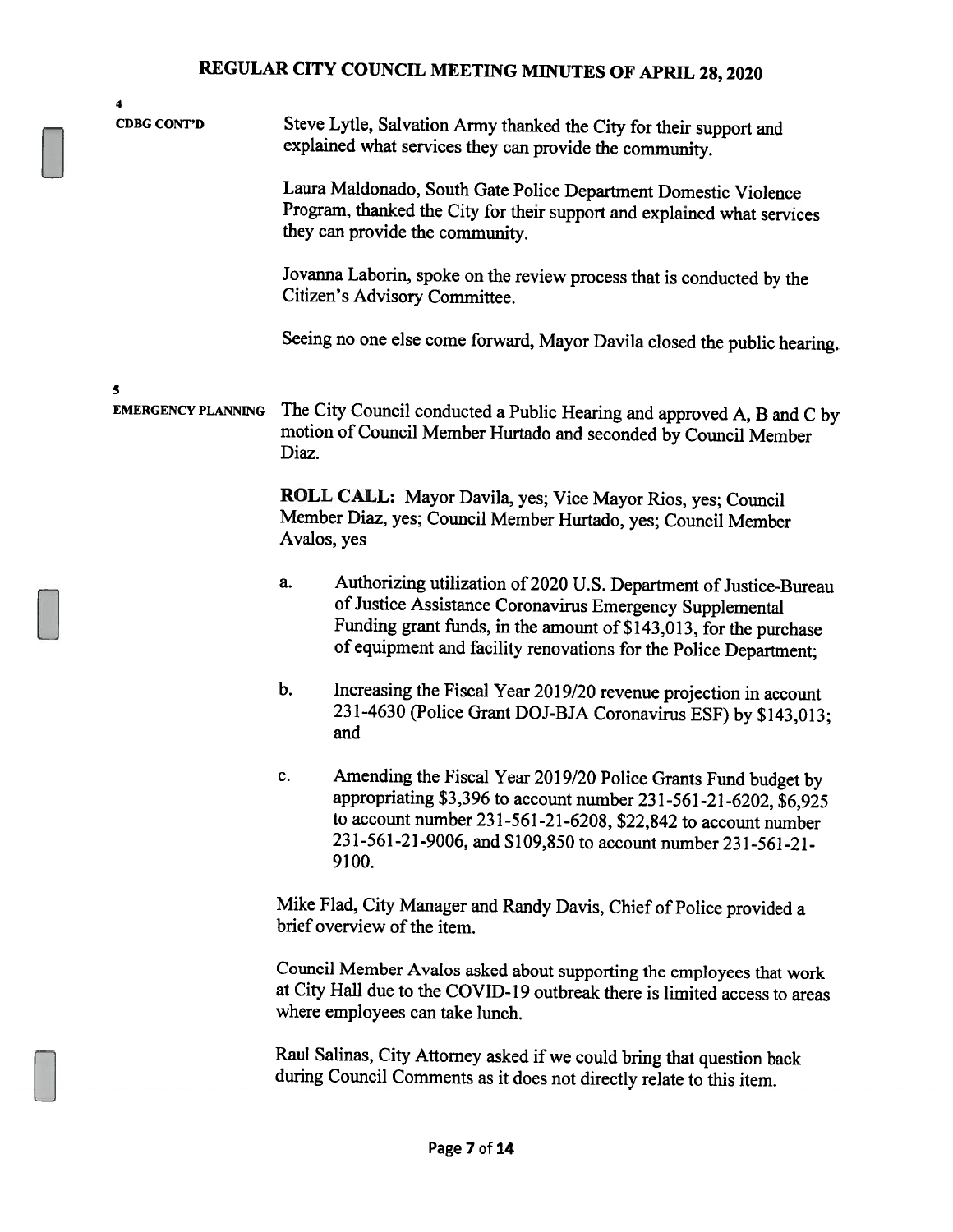| 4                              |                                                                                                        |                                                                                                                                                                                                                                                                             |
|--------------------------------|--------------------------------------------------------------------------------------------------------|-----------------------------------------------------------------------------------------------------------------------------------------------------------------------------------------------------------------------------------------------------------------------------|
| <b>CDBG CONT'D</b>             |                                                                                                        | Steve Lytle, Salvation Army thanked the City for their support and<br>explained what services they can provide the community.                                                                                                                                               |
|                                |                                                                                                        | Laura Maldonado, South Gate Police Department Domestic Violence<br>Program, thanked the City for their support and explained what services<br>they can provide the community.                                                                                               |
|                                | Jovanna Laborin, spoke on the review process that is conducted by the<br>Citizen's Advisory Committee. |                                                                                                                                                                                                                                                                             |
|                                |                                                                                                        | Seeing no one else come forward, Mayor Davila closed the public hearing.                                                                                                                                                                                                    |
| 5<br><b>EMERGENCY PLANNING</b> | Diaz.                                                                                                  | The City Council conducted a Public Hearing and approved A, B and C by<br>motion of Council Member Hurtado and seconded by Council Member                                                                                                                                   |
|                                | Avalos, yes                                                                                            | ROLL CALL: Mayor Davila, yes; Vice Mayor Rios, yes; Council<br>Member Diaz, yes; Council Member Hurtado, yes; Council Member                                                                                                                                                |
|                                | a.                                                                                                     | Authorizing utilization of 2020 U.S. Department of Justice-Bureau<br>of Justice Assistance Coronavirus Emergency Supplemental<br>Funding grant funds, in the amount of \$143,013, for the purchase<br>of equipment and facility renovations for the Police Department;      |
|                                | b.                                                                                                     | Increasing the Fiscal Year 2019/20 revenue projection in account<br>231-4630 (Police Grant DOJ-BJA Coronavirus ESF) by \$143,013;<br>and                                                                                                                                    |
|                                | c.                                                                                                     | Amending the Fiscal Year 2019/20 Police Grants Fund budget by<br>appropriating \$3,396 to account number 231-561-21-6202, \$6,925<br>to account number 231-561-21-6208, \$22,842 to account number<br>231-561-21-9006, and \$109,850 to account number 231-561-21-<br>9100. |
|                                |                                                                                                        | Mike Flad, City Manager and Randy Davis, Chief of Police provided a<br>brief overview of the item.                                                                                                                                                                          |
|                                |                                                                                                        | Council Member Avalos asked about supporting the employees that work<br>at City Hall due to the COVID-19 outbreak there is limited access to areas<br>where employees can take lunch.                                                                                       |
|                                |                                                                                                        | Raul Salinas, City Attorney asked if we could bring that question back<br>during Council Comments as it does not directly relate to this item.                                                                                                                              |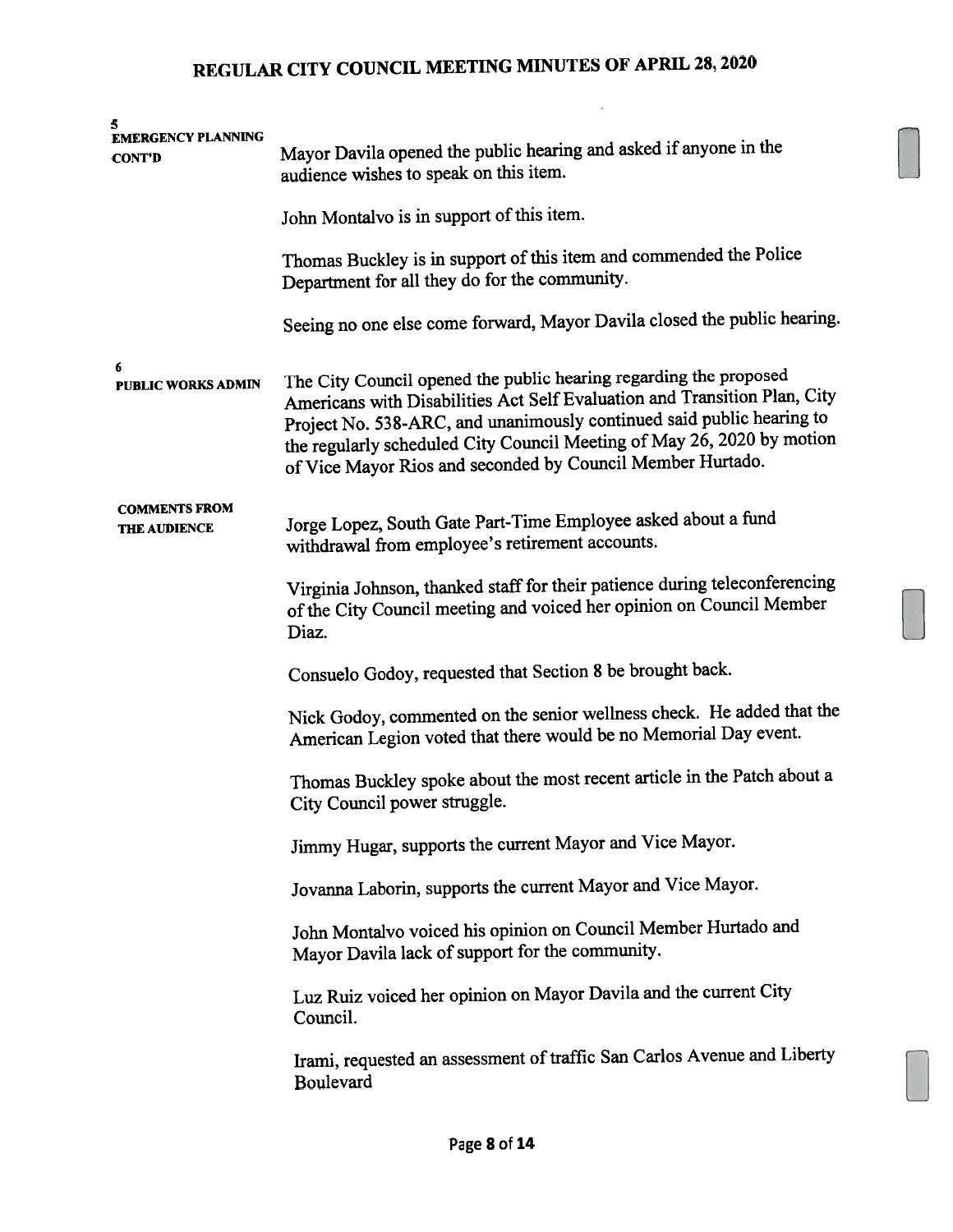$\alpha$ 

| 5<br><b>EMERGENCY PLANNING</b><br><b>CONT'D</b> | Mayor Davila opened the public hearing and asked if anyone in the<br>audience wishes to speak on this item.                                                                                                                                                                                                                                                     |  |  |
|-------------------------------------------------|-----------------------------------------------------------------------------------------------------------------------------------------------------------------------------------------------------------------------------------------------------------------------------------------------------------------------------------------------------------------|--|--|
|                                                 | John Montalvo is in support of this item.                                                                                                                                                                                                                                                                                                                       |  |  |
|                                                 | Thomas Buckley is in support of this item and commended the Police<br>Department for all they do for the community.                                                                                                                                                                                                                                             |  |  |
|                                                 | Seeing no one else come forward, Mayor Davila closed the public hearing.                                                                                                                                                                                                                                                                                        |  |  |
| 6<br>PUBLIC WORKS ADMIN                         | The City Council opened the public hearing regarding the proposed<br>Americans with Disabilities Act Self Evaluation and Transition Plan, City<br>Project No. 538-ARC, and unanimously continued said public hearing to<br>the regularly scheduled City Council Meeting of May 26, 2020 by motion<br>of Vice Mayor Rios and seconded by Council Member Hurtado. |  |  |
| <b>COMMENTS FROM</b><br>THE AUDIENCE            | Jorge Lopez, South Gate Part-Time Employee asked about a fund<br>withdrawal from employee's retirement accounts.                                                                                                                                                                                                                                                |  |  |
|                                                 | Virginia Johnson, thanked staff for their patience during teleconferencing<br>of the City Council meeting and voiced her opinion on Council Member<br>Diaz.                                                                                                                                                                                                     |  |  |
|                                                 | Consuelo Godoy, requested that Section 8 be brought back.                                                                                                                                                                                                                                                                                                       |  |  |
|                                                 | Nick Godoy, commented on the senior wellness check. He added that the<br>American Legion voted that there would be no Memorial Day event.                                                                                                                                                                                                                       |  |  |
|                                                 | Thomas Buckley spoke about the most recent article in the Patch about a<br>City Council power struggle.                                                                                                                                                                                                                                                         |  |  |
|                                                 | Jimmy Hugar, supports the current Mayor and Vice Mayor.                                                                                                                                                                                                                                                                                                         |  |  |
|                                                 | Jovanna Laborin, supports the current Mayor and Vice Mayor.                                                                                                                                                                                                                                                                                                     |  |  |
|                                                 | John Montalvo voiced his opinion on Council Member Hurtado and<br>Mayor Davila lack of support for the community.                                                                                                                                                                                                                                               |  |  |
|                                                 | Luz Ruiz voiced her opinion on Mayor Davila and the current City<br>Council.                                                                                                                                                                                                                                                                                    |  |  |
|                                                 | Irami, requested an assessment of traffic San Carlos Avenue and Liberty<br>Boulevard                                                                                                                                                                                                                                                                            |  |  |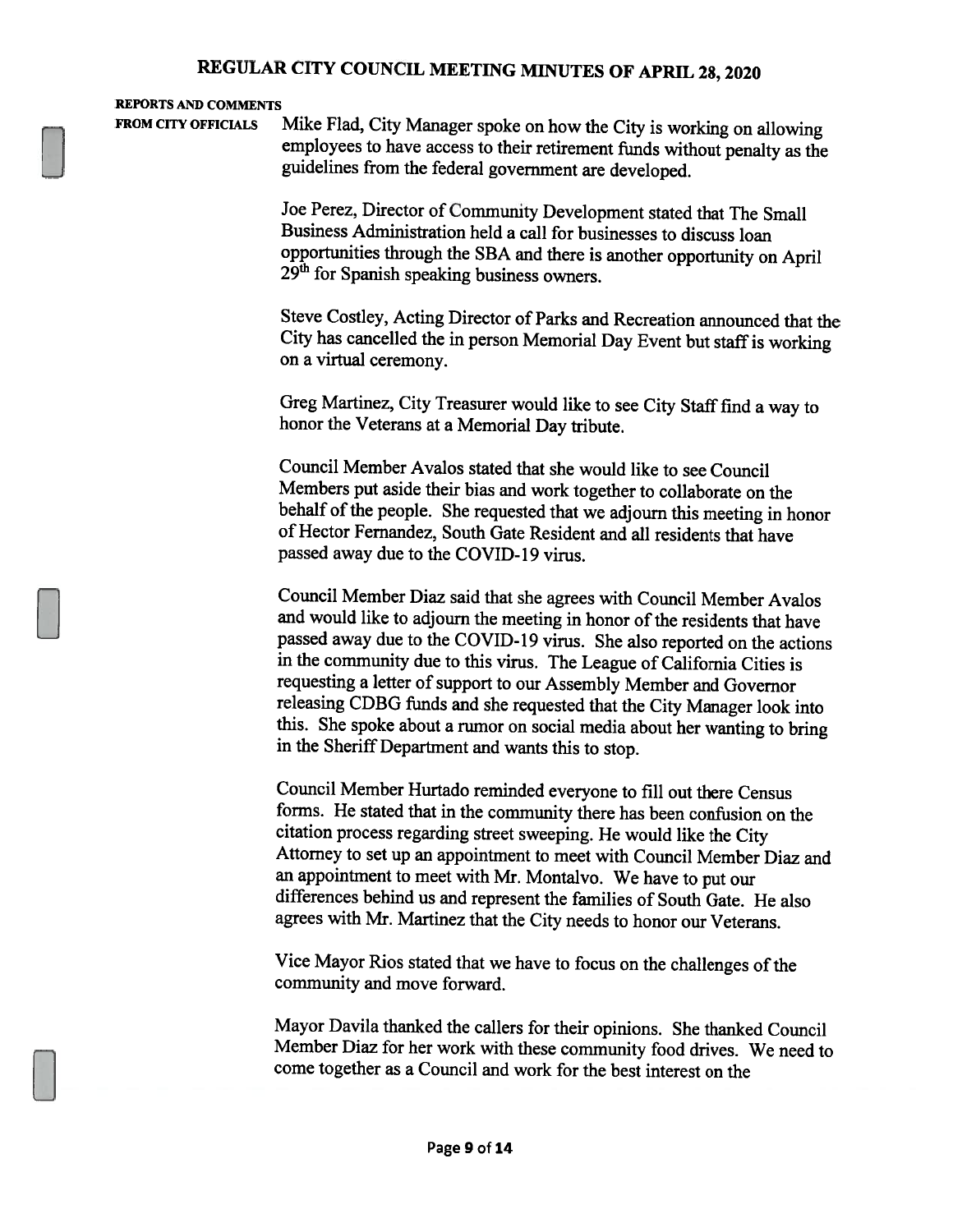#### REPORTS AND COMMENTS

FROM CITY OFFICIALS Mike Flad, City Manager spoke on how the City is working on allowing employees to have access to their retirement funds without penalty as the guidelines from the federal government are developed.

> Joe Perez, Director of Community Development stated that The Small Business Administration held <sup>a</sup> call for businesses to discuss loan opportunities through the SBA and there is another opportunity on April 29<sup>th</sup> for Spanish speaking business owners.

Steve Costley, Acting Director of Parks and Recreation announced that the City has cancelled the in person Memorial Day Event but staff is working on <sup>a</sup> virtual ceremony.

Greg Martinez, City Treasurer would like to see City Staff find a way to honor the Veterans at <sup>a</sup> Memorial Day tribute.

Council Member Avalos stated that she would like to see Council Members put aside their bias and work together to collaborate on the behalf of the people. She requested that we adjourn this meeting in honor of Hector Fernandez, South Gate Resident and all residents that have passed away due to the COVID-19 virus.

Council Member Diaz said that she agrees with Council Member Avalos and would like to adjourn the meeting in honor of the residents that have passed away due to the COVID-19 virus. She also reported on the actions in the community due to this virus. The League of California Cities is requesting a letter of support to our Assembly Member and Governor releasing CDBG funds and she requested that the City Manager look into this. She spoke about <sup>a</sup> rumor on social media about her wanting to bring in the Sheriff Department and wants this to stop.

Council Member Hurtado reminded everyone to fill out there Census forms. He stated that in the community there has been confusion on the citation process regarding street sweeping. He would like the City Attorney to set up an appointment to meet with Council Member Diaz and an appointment to meet with Mr. Montalvo. We have to put our differences behind us and represent the families of South Gate. He also agrees with Mr. Martinez that the City needs to honor our Veterans.

Vice Mayor Rios stated that we have to focus on the challenges of the community and move forward.

Mayor Davila thanked the callers for their opinions. She thanked Council Member Diaz for her work with these community food drives. We need to come together as <sup>a</sup> Council and work for the best interest on the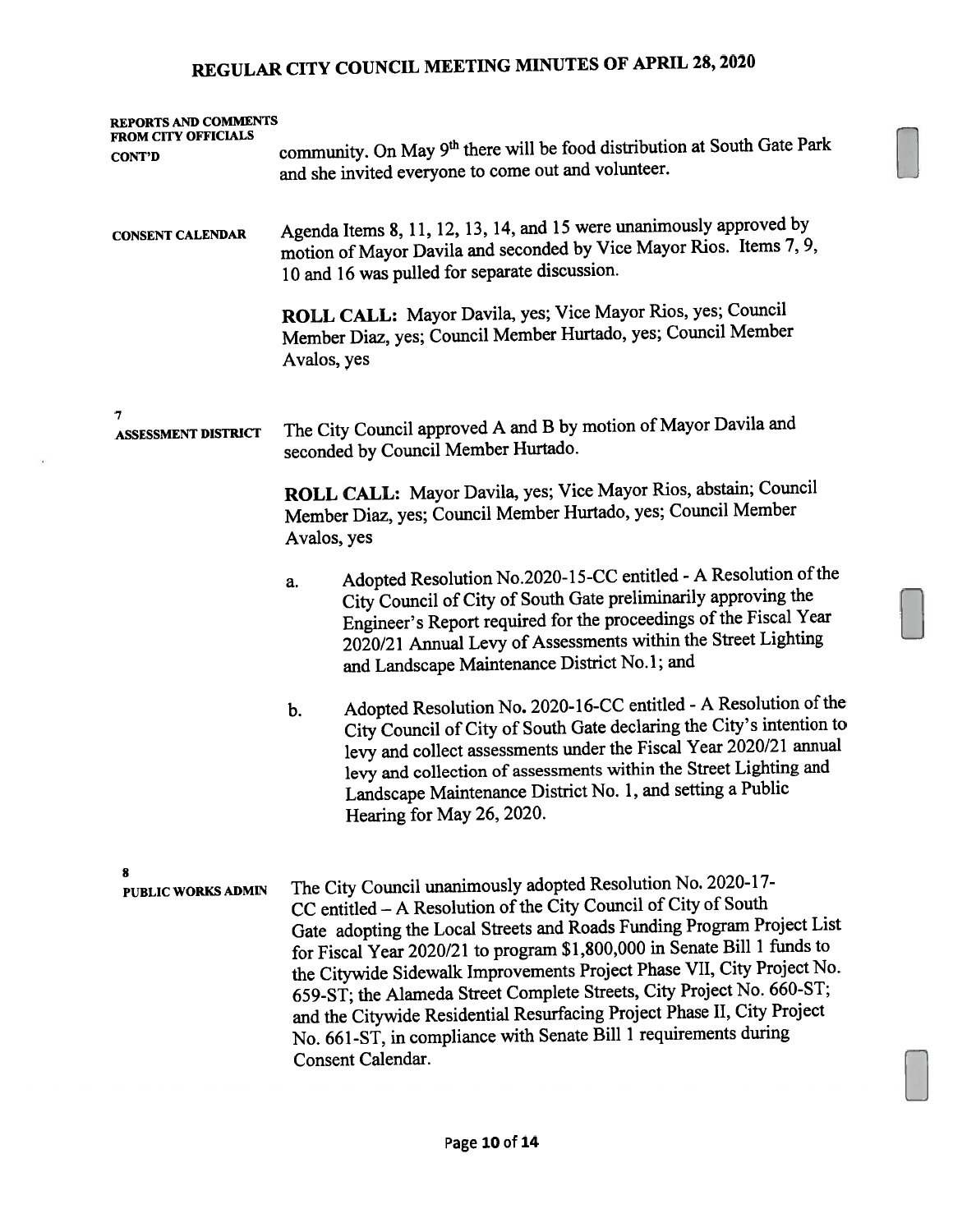| <b>REPORTS AND COMMENTS</b><br>FROM CITY OFFICIALS | community. On May 9th there will be food distribution at South Gate Park                                                                                                                                                                                                                                                                                                                                                                                                                                                                                                                                     |  |  |  |
|----------------------------------------------------|--------------------------------------------------------------------------------------------------------------------------------------------------------------------------------------------------------------------------------------------------------------------------------------------------------------------------------------------------------------------------------------------------------------------------------------------------------------------------------------------------------------------------------------------------------------------------------------------------------------|--|--|--|
| <b>CONT'D</b>                                      | and she invited everyone to come out and volunteer.                                                                                                                                                                                                                                                                                                                                                                                                                                                                                                                                                          |  |  |  |
| <b>CONSENT CALENDAR</b>                            | Agenda Items 8, 11, 12, 13, 14, and 15 were unanimously approved by<br>motion of Mayor Davila and seconded by Vice Mayor Rios. Items 7, 9,<br>10 and 16 was pulled for separate discussion.                                                                                                                                                                                                                                                                                                                                                                                                                  |  |  |  |
|                                                    | ROLL CALL: Mayor Davila, yes; Vice Mayor Rios, yes; Council<br>Member Diaz, yes; Council Member Hurtado, yes; Council Member<br>Avalos, yes                                                                                                                                                                                                                                                                                                                                                                                                                                                                  |  |  |  |
| 7<br><b>ASSESSMENT DISTRICT</b>                    | The City Council approved A and B by motion of Mayor Davila and<br>seconded by Council Member Hurtado.                                                                                                                                                                                                                                                                                                                                                                                                                                                                                                       |  |  |  |
|                                                    | ROLL CALL: Mayor Davila, yes; Vice Mayor Rios, abstain; Council<br>Member Diaz, yes; Council Member Hurtado, yes; Council Member<br>Avalos, yes                                                                                                                                                                                                                                                                                                                                                                                                                                                              |  |  |  |
|                                                    | Adopted Resolution No.2020-15-CC entitled - A Resolution of the<br>a.<br>City Council of City of South Gate preliminarily approving the<br>Engineer's Report required for the proceedings of the Fiscal Year<br>2020/21 Annual Levy of Assessments within the Street Lighting<br>and Landscape Maintenance District No.1; and                                                                                                                                                                                                                                                                                |  |  |  |
|                                                    | Adopted Resolution No. 2020-16-CC entitled - A Resolution of the<br>b.<br>City Council of City of South Gate declaring the City's intention to<br>levy and collect assessments under the Fiscal Year 2020/21 annual<br>levy and collection of assessments within the Street Lighting and<br>Landscape Maintenance District No. 1, and setting a Public<br>Hearing for May 26, 2020.                                                                                                                                                                                                                          |  |  |  |
| 8<br>PUBLIC WORKS ADMIN                            | The City Council unanimously adopted Resolution No. 2020-17-<br>CC entitled - A Resolution of the City Council of City of South<br>Gate adopting the Local Streets and Roads Funding Program Project List<br>for Fiscal Year 2020/21 to program \$1,800,000 in Senate Bill 1 funds to<br>the Citywide Sidewalk Improvements Project Phase VII, City Project No.<br>659-ST; the Alameda Street Complete Streets, City Project No. 660-ST;<br>and the Citywide Residential Resurfacing Project Phase II, City Project<br>No. 661-ST, in compliance with Senate Bill 1 requirements during<br>Consent Calendar. |  |  |  |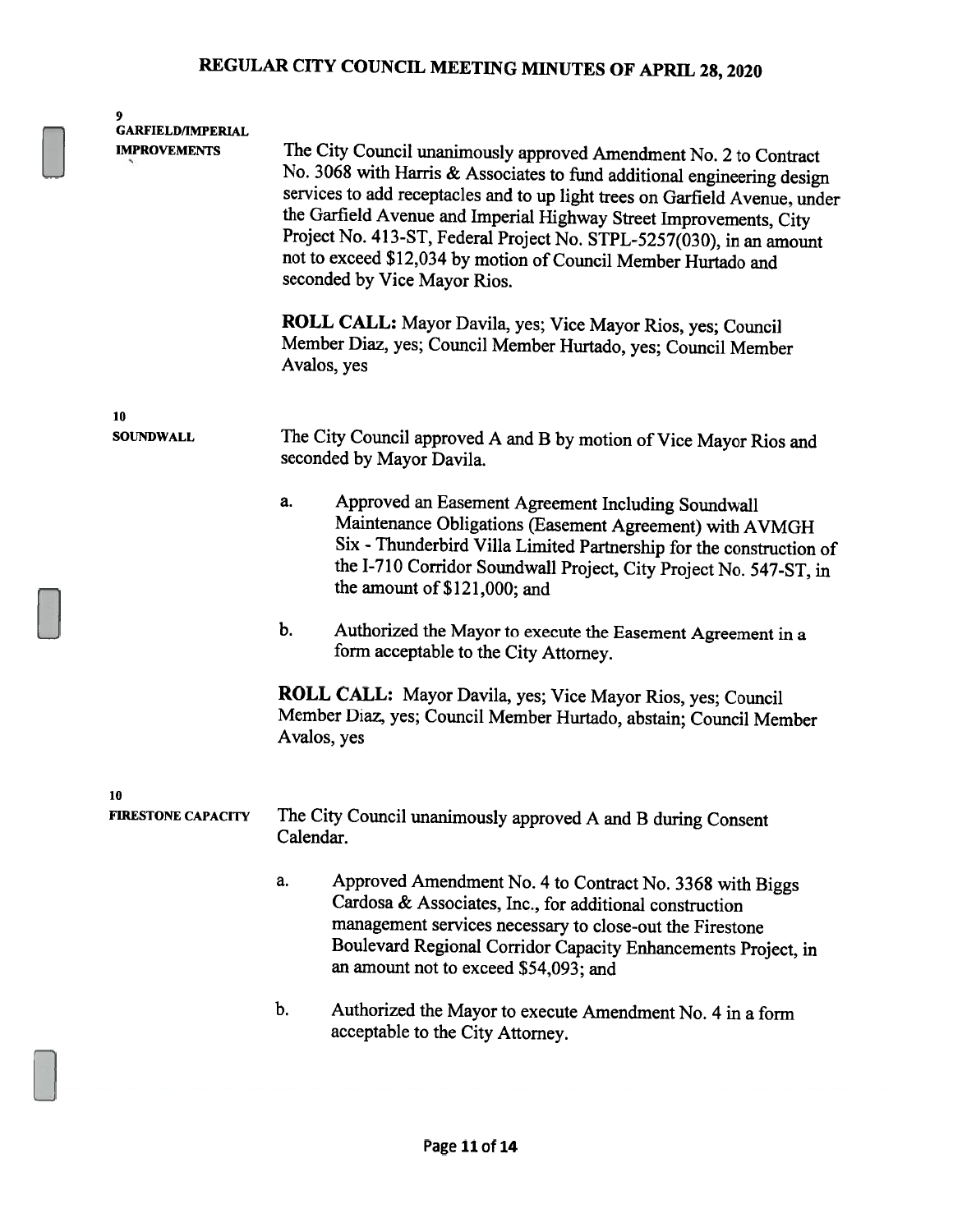| 9<br><b>GARFIELD/IMPERIAL</b><br><b>IMPROVEMENTS</b> | Avalos, yes   | The City Council unanimously approved Amendment No. 2 to Contract<br>No. 3068 with Harris & Associates to fund additional engineering design<br>services to add receptacles and to up light trees on Garfield Avenue, under<br>the Garfield Avenue and Imperial Highway Street Improvements, City<br>Project No. 413-ST, Federal Project No. STPL-5257(030), in an amount<br>not to exceed \$12,034 by motion of Council Member Hurtado and<br>seconded by Vice Mayor Rios.<br>ROLL CALL: Mayor Davila, yes; Vice Mayor Rios, yes; Council<br>Member Diaz, yes; Council Member Hurtado, yes; Council Member |
|------------------------------------------------------|---------------|-------------------------------------------------------------------------------------------------------------------------------------------------------------------------------------------------------------------------------------------------------------------------------------------------------------------------------------------------------------------------------------------------------------------------------------------------------------------------------------------------------------------------------------------------------------------------------------------------------------|
| 10<br><b>SOUNDWALL</b>                               |               | The City Council approved A and B by motion of Vice Mayor Rios and<br>seconded by Mayor Davila.                                                                                                                                                                                                                                                                                                                                                                                                                                                                                                             |
|                                                      | a.            | Approved an Easement Agreement Including Soundwall<br>Maintenance Obligations (Easement Agreement) with AVMGH<br>Six - Thunderbird Villa Limited Partnership for the construction of<br>the I-710 Corridor Soundwall Project, City Project No. 547-ST, in<br>the amount of \$121,000; and                                                                                                                                                                                                                                                                                                                   |
|                                                      | $\mathbf b$ . | Authorized the Mayor to execute the Easement Agreement in a<br>form acceptable to the City Attorney.                                                                                                                                                                                                                                                                                                                                                                                                                                                                                                        |
|                                                      | Avalos, yes   | ROLL CALL: Mayor Davila, yes; Vice Mayor Rios, yes; Council<br>Member Diaz, yes; Council Member Hurtado, abstain; Council Member                                                                                                                                                                                                                                                                                                                                                                                                                                                                            |
| 10<br><b>FIRESTONE CAPACITY</b>                      | Calendar.     | The City Council unanimously approved A and B during Consent                                                                                                                                                                                                                                                                                                                                                                                                                                                                                                                                                |
|                                                      | a.            | Approved Amendment No. 4 to Contract No. 3368 with Biggs<br>Cardosa & Associates, Inc., for additional construction<br>management services necessary to close-out the Firestone<br>Boulevard Regional Corridor Capacity Enhancements Project, in<br>an amount not to exceed \$54,093; and                                                                                                                                                                                                                                                                                                                   |
|                                                      | $\mathbf b$ . | Authorized the Mayor to execute Amendment No. 4 in a form<br>acceptable to the City Attorney.                                                                                                                                                                                                                                                                                                                                                                                                                                                                                                               |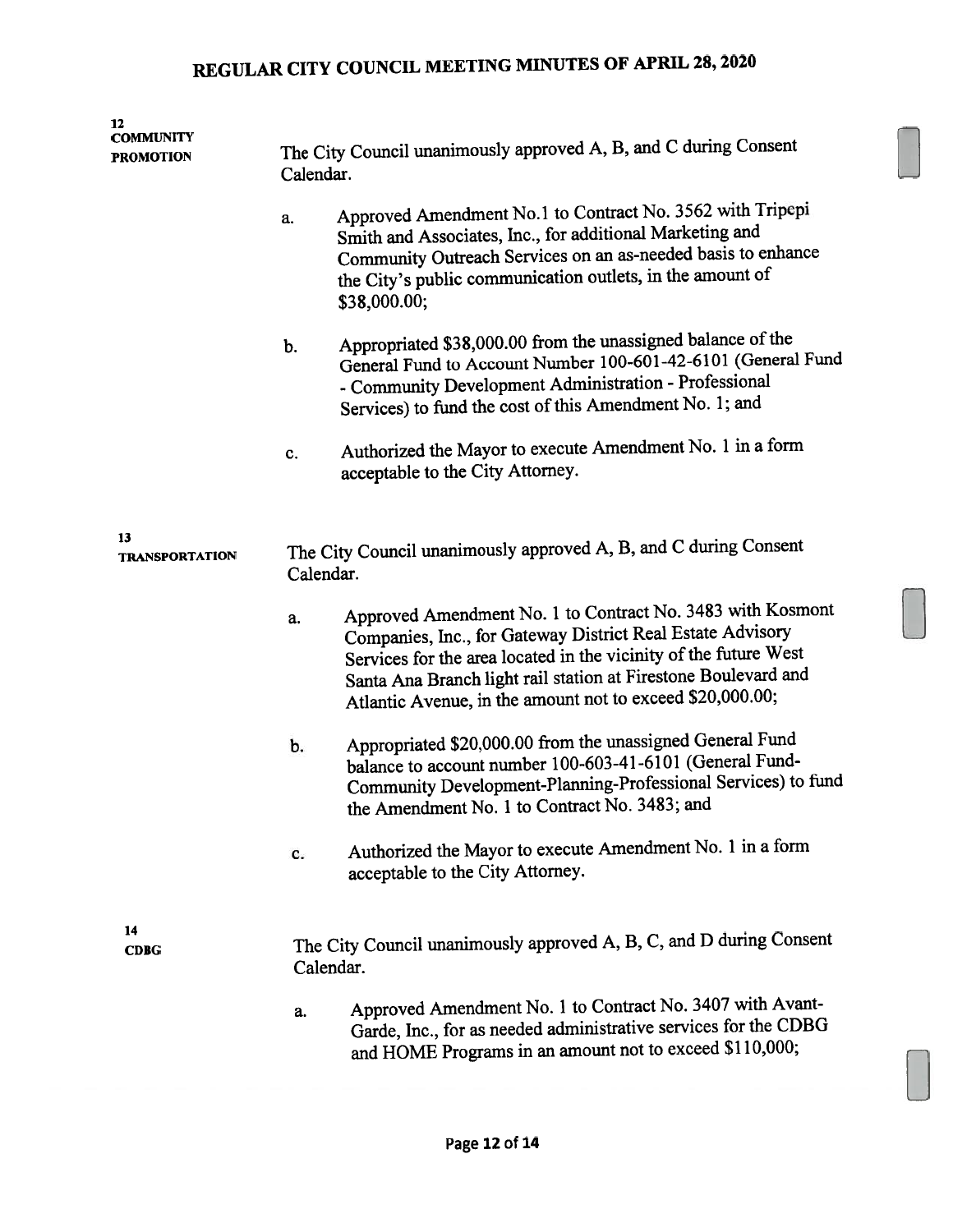| 12<br><b>COMMUNITY</b><br>PROMOTION | Calendar.                                                                     | The City Council unanimously approved A, B, and C during Consent                                                                                                                                                                                                                                                            |  |  |
|-------------------------------------|-------------------------------------------------------------------------------|-----------------------------------------------------------------------------------------------------------------------------------------------------------------------------------------------------------------------------------------------------------------------------------------------------------------------------|--|--|
|                                     | a.                                                                            | Approved Amendment No.1 to Contract No. 3562 with Tripepi<br>Smith and Associates, Inc., for additional Marketing and<br>Community Outreach Services on an as-needed basis to enhance<br>the City's public communication outlets, in the amount of<br>\$38,000.00;                                                          |  |  |
|                                     | b.                                                                            | Appropriated \$38,000.00 from the unassigned balance of the<br>General Fund to Account Number 100-601-42-6101 (General Fund<br>- Community Development Administration - Professional<br>Services) to fund the cost of this Amendment No. 1; and                                                                             |  |  |
|                                     | c.                                                                            | Authorized the Mayor to execute Amendment No. 1 in a form<br>acceptable to the City Attorney.                                                                                                                                                                                                                               |  |  |
| 13<br><b>TRANSPORTATION</b>         | The City Council unanimously approved A, B, and C during Consent<br>Calendar. |                                                                                                                                                                                                                                                                                                                             |  |  |
|                                     | a.                                                                            | Approved Amendment No. 1 to Contract No. 3483 with Kosmont<br>Companies, Inc., for Gateway District Real Estate Advisory<br>Services for the area located in the vicinity of the future West<br>Santa Ana Branch light rail station at Firestone Boulevard and<br>Atlantic Avenue, in the amount not to exceed \$20,000.00; |  |  |
|                                     | b.                                                                            | Appropriated \$20,000.00 from the unassigned General Fund<br>balance to account number 100-603-41-6101 (General Fund-<br>Community Development-Planning-Professional Services) to fund<br>the Amendment No. 1 to Contract No. 3483; and                                                                                     |  |  |
|                                     | c.                                                                            | Authorized the Mayor to execute Amendment No. 1 in a form<br>acceptable to the City Attorney.                                                                                                                                                                                                                               |  |  |
| 14<br><b>CDBG</b>                   | Calendar.                                                                     | The City Council unanimously approved A, B, C, and D during Consent                                                                                                                                                                                                                                                         |  |  |
|                                     | a.                                                                            | Approved Amendment No. 1 to Contract No. 3407 with Avant-<br>Garde, Inc., for as needed administrative services for the CDBG<br>and HOME Programs in an amount not to exceed \$110,000;                                                                                                                                     |  |  |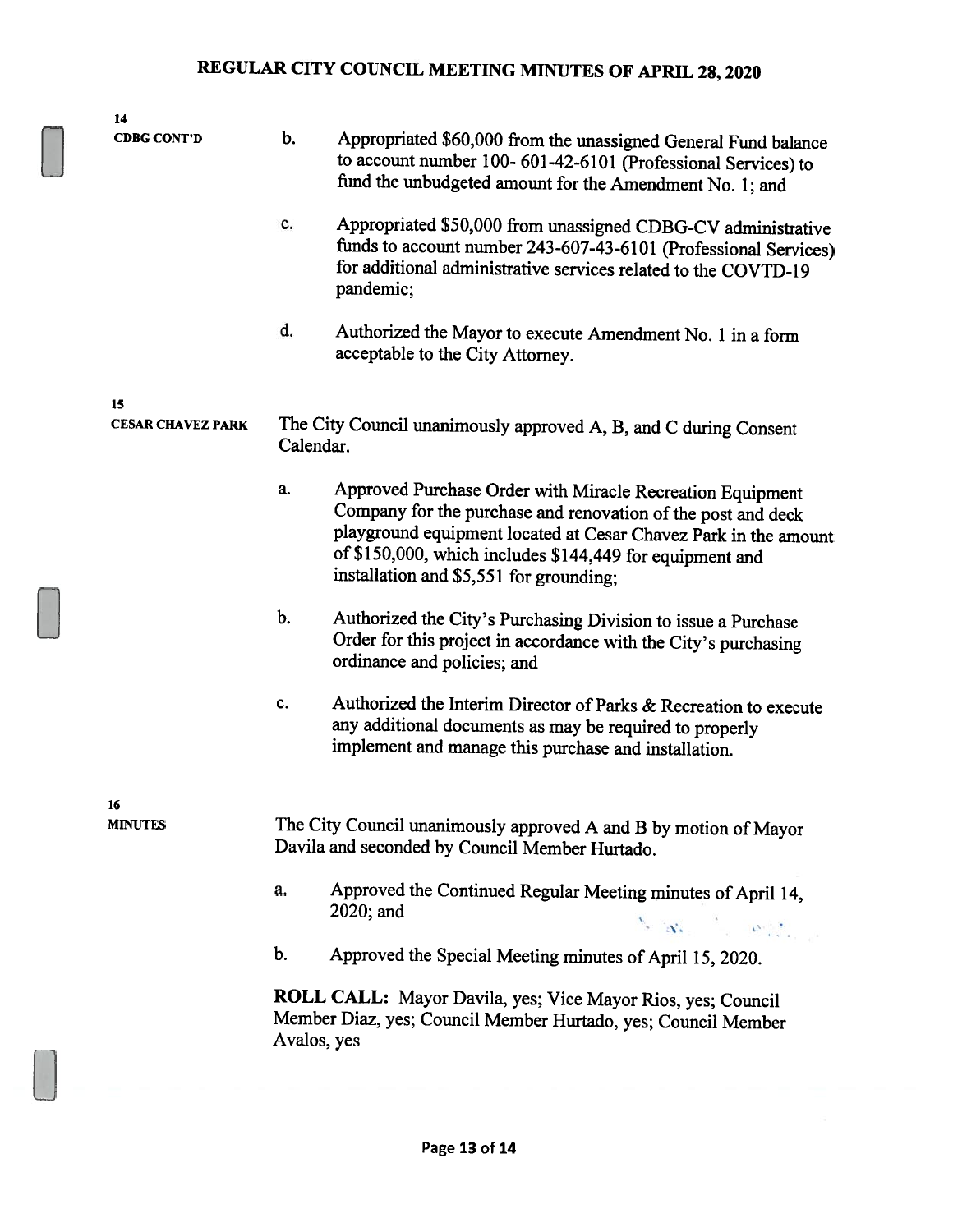| <b>CDBG CONT'D</b><br>15<br><b>CESAR CHAVEZ PARK</b> | b.<br>c.<br>d. | Appropriated \$60,000 from the unassigned General Fund balance<br>to account number 100-601-42-6101 (Professional Services) to<br>fund the unbudgeted amount for the Amendment No. 1; and<br>for additional administrative services related to the COVTD-19<br>pandemic;<br>Authorized the Mayor to execute Amendment No. 1 in a form<br>acceptable to the City Attorney. |
|------------------------------------------------------|----------------|---------------------------------------------------------------------------------------------------------------------------------------------------------------------------------------------------------------------------------------------------------------------------------------------------------------------------------------------------------------------------|
|                                                      |                | Appropriated \$50,000 from unassigned CDBG-CV administrative<br>funds to account number 243-607-43-6101 (Professional Services)                                                                                                                                                                                                                                           |
|                                                      |                |                                                                                                                                                                                                                                                                                                                                                                           |
|                                                      |                |                                                                                                                                                                                                                                                                                                                                                                           |
|                                                      |                | The City Council unanimously approved A, B, and C during Consent<br>Calendar.                                                                                                                                                                                                                                                                                             |
|                                                      | a.             | Approved Purchase Order with Miracle Recreation Equipment<br>Company for the purchase and renovation of the post and deck<br>playground equipment located at Cesar Chavez Park in the amount<br>of \$150,000, which includes \$144,449 for equipment and<br>installation and \$5,551 for grounding;                                                                       |
|                                                      | $b$ .          | Authorized the City's Purchasing Division to issue a Purchase<br>Order for this project in accordance with the City's purchasing<br>ordinance and policies; and                                                                                                                                                                                                           |
|                                                      | c.             | Authorized the Interim Director of Parks & Recreation to execute<br>any additional documents as may be required to properly<br>implement and manage this purchase and installation.                                                                                                                                                                                       |
| 16<br><b>MINUTES</b>                                 |                | The City Council unanimously approved A and B by motion of Mayor<br>Davila and seconded by Council Member Hurtado.                                                                                                                                                                                                                                                        |
|                                                      | a.             | Approved the Continued Regular Meeting minutes of April 14,<br>2020; and<br>$\mathcal{N}_{\mathcal{S}}\left(\mathcal{A}_{\mathcal{S}}\right) = \mathcal{N}_{\mathcal{S}}\left(\left\ \mathcal{S}_{\mathcal{S}}\right\ _{\mathcal{S}}\right)$                                                                                                                              |
|                                                      | b.             | Approved the Special Meeting minutes of April 15, 2020.                                                                                                                                                                                                                                                                                                                   |
|                                                      | Avalos, yes    | ROLL CALL: Mayor Davila, yes; Vice Mayor Rios, yes; Council<br>Member Diaz, yes; Council Member Hurtado, yes; Council Member                                                                                                                                                                                                                                              |